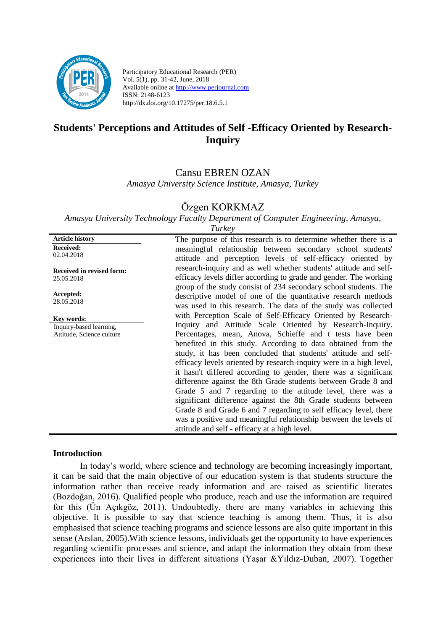

**Article history**

Participatory Educational Research (PER) Vol. 5(1), pp. 31-42, June, 2018 Available online at http://www.perjournal.com ISSN: 2148-6123 http://dx.doi.org/10.17275/per.18.6.5.1

# **Students' Perceptions and Attitudes of Self -Efficacy Oriented by Research-Inquiry**

# Cansu EBREN OZAN

*Amasya University Science Institute, Amasya, Turkey*

# Özgen KORKMAZ

*Amasya University Technology Faculty Department of Computer Engineering, Amasya,* 

**Received:**  02.04.2018 **Received in revised form:**  25.05.2018 **Accepted:** 28.05.2018 **Key words:** Inquiry-based learning, Attitude, Science culture

The purpose of this research is to determine whether there is a meaningful relationship between secondary school students' attitude and perception levels of self-efficacy oriented by research-inquiry and as well whether students' attitude and selfefficacy levels differ according to grade and gender. The working group of the study consist of 234 secondary school students. The descriptive model of one of the quantitative research methods was used in this research. The data of the study was collected with Perception Scale of Self-Efficacy Oriented by Research-Inquiry and Attitude Scale Oriented by Research-Inquiry. Percentages, mean, Anova, Schieffe and t tests have been benefited in this study. According to data obtained from the study, it has been concluded that students' attitude and selfefficacy levels oriented by research-inquiry were in a high level, it hasn't differed according to gender, there was a significant difference against the 8th Grade students between Grade 8 and Grade 5 and 7 regarding to the attitude level, there was a significant difference against the 8th Grade students between Grade 8 and Grade 6 and 7 regarding to self efficacy level, there was a positive and meaningful relationship between the levels of attitude and self - efficacy at a high level.

#### **Introduction**

In today's world, where science and technology are becoming increasingly important, it can be said that the main objective of our education system is that students structure the information rather than receive ready information and are raised as scientific literates (Bozdoğan, 2016). Qualified people who produce, reach and use the information are required for this (Ün Açıkgöz, 2011). Undoubtedly, there are many variables in achieving this objective. It is possible to say that science teaching is among them. Thus, it is also emphasised that science teaching programs and science lessons are also quite important in this sense (Arslan, 2005).With science lessons, individuals get the opportunity to have experiences regarding scientific processes and science, and adapt the information they obtain from these experiences into their lives in different situations (Yaşar &Yıldız-Duban, 2007). Together

*Turkey*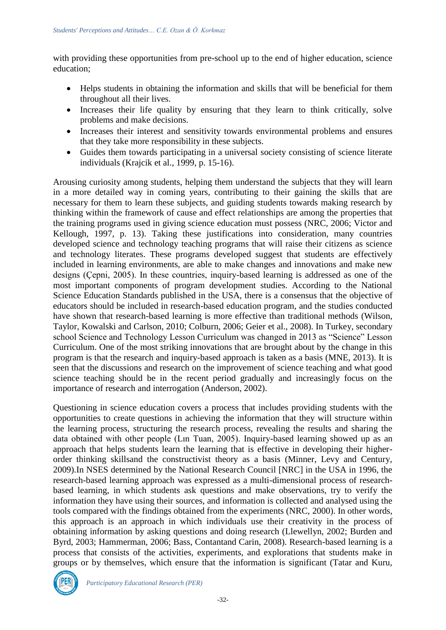with providing these opportunities from pre-school up to the end of higher education, science education;

- Helps students in obtaining the information and skills that will be beneficial for them throughout all their lives.
- Increases their life quality by ensuring that they learn to think critically, solve problems and make decisions.
- Increases their interest and sensitivity towards environmental problems and ensures that they take more responsibility in these subjects.
- Guides them towards participating in a universal society consisting of science literate individuals (Krajcik et al., 1999, p. 15-16).

Arousing curiosity among students, helping them understand the subjects that they will learn in a more detailed way in coming years, contributing to their gaining the skills that are necessary for them to learn these subjects, and guiding students towards making research by thinking within the framework of cause and effect relationships are among the properties that the training programs used in giving science education must possess (NRC, 2006; Victor and Kellough, 1997, p. 13). Taking these justifications into consideration, many countries developed science and technology teaching programs that will raise their citizens as science and technology literates. These programs developed suggest that students are effectively included in learning environments, are able to make changes and innovations and make new designs (Çepni, 2005). In these countries, inquiry-based learning is addressed as one of the most important components of program development studies. According to the National Science Education Standards published in the USA, there is a consensus that the objective of educators should be included in research-based education program, and the studies conducted have shown that research-based learning is more effective than traditional methods (Wilson, Taylor, Kowalski and Carlson, 2010; Colburn, 2006; Geier et al., 2008). In Turkey, secondary school Science and Technology Lesson Curriculum was changed in 2013 as "Science" Lesson Curriculum. One of the most striking innovations that are brought about by the change in this program is that the research and inquiry-based approach is taken as a basis (MNE, 2013). It is seen that the discussions and research on the improvement of science teaching and what good science teaching should be in the recent period gradually and increasingly focus on the importance of research and interrogation (Anderson, 2002).

Questioning in science education covers a process that includes providing students with the opportunities to create questions in achieving the information that they will structure within the learning process, structuring the research process, revealing the results and sharing the data obtained with other people (Lın Tuan, 2005). Inquiry-based learning showed up as an approach that helps students learn the learning that is effective in developing their higherorder thinking skillsand the constructivist theory as a basis (Minner, Levy and Century, 2009).In NSES determined by the National Research Council [NRC] in the USA in 1996, the research-based learning approach was expressed as a multi-dimensional process of researchbased learning, in which students ask questions and make observations, try to verify the information they have using their sources, and information is collected and analysed using the tools compared with the findings obtained from the experiments (NRC, 2000). In other words, this approach is an approach in which individuals use their creativity in the process of obtaining information by asking questions and doing research (Llewellyn, 2002; Burden and Byrd, 2003; Hammerman, 2006; Bass, Contantand Carin, 2008). Research-based learning is a process that consists of the activities, experiments, and explorations that students make in groups or by themselves, which ensure that the information is significant (Tatar and Kuru,

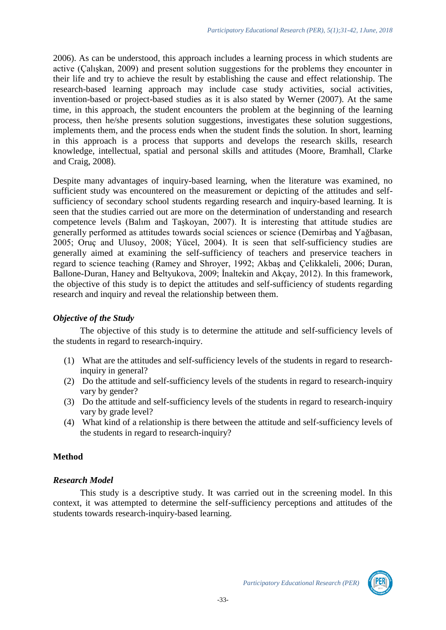2006). As can be understood, this approach includes a learning process in which students are active (Çalışkan, 2009) and present solution suggestions for the problems they encounter in their life and try to achieve the result by establishing the cause and effect relationship. The research-based learning approach may include case study activities, social activities, invention-based or project-based studies as it is also stated by Werner (2007). At the same time, in this approach, the student encounters the problem at the beginning of the learning process, then he/she presents solution suggestions, investigates these solution suggestions, implements them, and the process ends when the student finds the solution. In short, learning in this approach is a process that supports and develops the research skills, research knowledge, intellectual, spatial and personal skills and attitudes (Moore, Bramhall, Clarke and Craig, 2008).

Despite many advantages of inquiry-based learning, when the literature was examined, no sufficient study was encountered on the measurement or depicting of the attitudes and selfsufficiency of secondary school students regarding research and inquiry-based learning. It is seen that the studies carried out are more on the determination of understanding and research competence levels (Balım and Taşkoyan, 2007). It is interesting that attitude studies are generally performed as attitudes towards social sciences or science (Demirbaş and Yağbasan, 2005; Oruç and Ulusoy, 2008; Yücel, 2004). It is seen that self-sufficiency studies are generally aimed at examining the self-sufficiency of teachers and preservice teachers in regard to science teaching (Ramey and Shroyer, 1992; Akbaş and Çelikkaleli, 2006; Duran, Ballone-Duran, Haney and Beltyukova, 2009; İnaltekin and Akçay, 2012). In this framework, the objective of this study is to depict the attitudes and self-sufficiency of students regarding research and inquiry and reveal the relationship between them.

#### *Objective of the Study*

The objective of this study is to determine the attitude and self-sufficiency levels of the students in regard to research-inquiry.

- (1) What are the attitudes and self-sufficiency levels of the students in regard to researchinquiry in general?
- (2) Do the attitude and self-sufficiency levels of the students in regard to research-inquiry vary by gender?
- (3) Do the attitude and self-sufficiency levels of the students in regard to research-inquiry vary by grade level?
- (4) What kind of a relationship is there between the attitude and self-sufficiency levels of the students in regard to research-inquiry?

#### **Method**

#### *Research Model*

This study is a descriptive study. It was carried out in the screening model. In this context, it was attempted to determine the self-sufficiency perceptions and attitudes of the students towards research-inquiry-based learning.

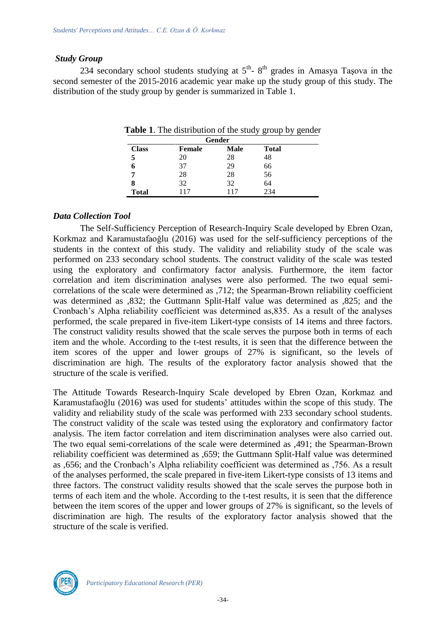#### *Study Group*

234 secondary school students studying at  $5<sup>th</sup>$ -  $8<sup>th</sup>$  grades in Amasya Taşova in the second semester of the 2015-2016 academic year make up the study group of this study. The distribution of the study group by gender is summarized in Table 1.

| Gender       |               |      |              |  |  |
|--------------|---------------|------|--------------|--|--|
| <b>Class</b> | <b>Female</b> | Male | <b>Total</b> |  |  |
|              | 20            | 28   | 48           |  |  |
|              | 37            | 29   | 66           |  |  |
| 7            | 28            | 28   | 56           |  |  |
|              | 32            | 32   | 64           |  |  |
| <b>Total</b> | 117           | 117  | 234          |  |  |

**Table 1**. The distribution of the study group by gender

#### *Data Collection Tool*

The Self-Sufficiency Perception of Research-Inquiry Scale developed by Ebren Ozan, Korkmaz and Karamustafaoğlu (2016) was used for the self-sufficiency perceptions of the students in the context of this study. The validity and reliability study of the scale was performed on 233 secondary school students. The construct validity of the scale was tested using the exploratory and confirmatory factor analysis. Furthermore, the item factor correlation and item discrimination analyses were also performed. The two equal semicorrelations of the scale were determined as ,712; the Spearman-Brown reliability coefficient was determined as ,832; the Guttmann Split-Half value was determined as ,825; and the Cronbach's Alpha reliability coefficient was determined as,835. As a result of the analyses performed, the scale prepared in five-item Likert-type consists of 14 items and three factors. The construct validity results showed that the scale serves the purpose both in terms of each item and the whole. According to the t-test results, it is seen that the difference between the item scores of the upper and lower groups of 27% is significant, so the levels of discrimination are high. The results of the exploratory factor analysis showed that the structure of the scale is verified.

The Attitude Towards Research-Inquiry Scale developed by Ebren Ozan, Korkmaz and Karamustafaoğlu (2016) was used for students' attitudes within the scope of this study. The validity and reliability study of the scale was performed with 233 secondary school students. The construct validity of the scale was tested using the exploratory and confirmatory factor analysis. The item factor correlation and item discrimination analyses were also carried out. The two equal semi-correlations of the scale were determined as ,491; the Spearman-Brown reliability coefficient was determined as ,659; the Guttmann Split-Half value was determined as ,656; and the Cronbach's Alpha reliability coefficient was determined as ,756. As a result of the analyses performed, the scale prepared in five-item Likert-type consists of 13 items and three factors. The construct validity results showed that the scale serves the purpose both in terms of each item and the whole. According to the t-test results, it is seen that the difference between the item scores of the upper and lower groups of 27% is significant, so the levels of discrimination are high. The results of the exploratory factor analysis showed that the structure of the scale is verified.

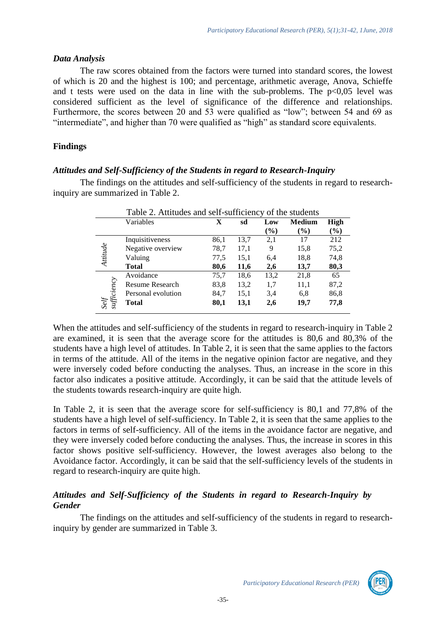#### *Data Analysis*

The raw scores obtained from the factors were turned into standard scores, the lowest of which is 20 and the highest is 100; and percentage, arithmetic average, Anova, Schieffe and t tests were used on the data in line with the sub-problems. The  $p<0,05$  level was considered sufficient as the level of significance of the difference and relationships. Furthermore, the scores between 20 and 53 were qualified as "low"; between 54 and 69 as "intermediate", and higher than 70 were qualified as "high" as standard score equivalents.

# **Findings**

#### *Attitudes and Self-Sufficiency of the Students in regard to Research-Inquiry*

The findings on the attitudes and self-sufficiency of the students in regard to researchinquiry are summarized in Table 2.

|                     | Table 2. Attitudes and self-sufficiency of the students |      |      |        |               |             |  |
|---------------------|---------------------------------------------------------|------|------|--------|---------------|-------------|--|
|                     | Variables                                               | X    | sd   | Low    | <b>Medium</b> | <b>High</b> |  |
|                     |                                                         |      |      | $(\%)$ | $($ %)        | $(\%)$      |  |
|                     | Inquisitiveness                                         | 86,1 | 13,7 | 2,1    | 17            | 212         |  |
|                     | Negative overview                                       | 78,7 | 17,1 | 9      | 15,8          | 75,2        |  |
| Attitude            | Valuing                                                 | 77,5 | 15,1 | 6,4    | 18,8          | 74,8        |  |
|                     | <b>Total</b>                                            | 80,6 | 11,6 | 2,6    | 13,7          | 80,3        |  |
|                     | Avoidance                                               | 75,7 | 18,6 | 13,2   | 21,8          | 65          |  |
|                     | <b>Resume Research</b>                                  | 83,8 | 13,2 | 1,7    | 11,1          | 87,2        |  |
|                     | Personal evolution                                      | 84,7 | 15,1 | 3.4    | 6,8           | 86,8        |  |
| Self<br>sufficiency | <b>Total</b>                                            | 80,1 | 13,1 | 2,6    | 19,7          | 77,8        |  |

When the attitudes and self-sufficiency of the students in regard to research-inquiry in Table 2 are examined, it is seen that the average score for the attitudes is 80,6 and 80,3% of the students have a high level of attitudes. In Table 2, it is seen that the same applies to the factors in terms of the attitude. All of the items in the negative opinion factor are negative, and they were inversely coded before conducting the analyses. Thus, an increase in the score in this factor also indicates a positive attitude. Accordingly, it can be said that the attitude levels of the students towards research-inquiry are quite high.

In Table 2, it is seen that the average score for self-sufficiency is 80,1 and 77,8% of the students have a high level of self-sufficiency. In Table 2, it is seen that the same applies to the factors in terms of self-sufficiency. All of the items in the avoidance factor are negative, and they were inversely coded before conducting the analyses. Thus, the increase in scores in this factor shows positive self-sufficiency. However, the lowest averages also belong to the Avoidance factor. Accordingly, it can be said that the self-sufficiency levels of the students in regard to research-inquiry are quite high.

# *Attitudes and Self-Sufficiency of the Students in regard to Research-Inquiry by Gender*

The findings on the attitudes and self-sufficiency of the students in regard to researchinquiry by gender are summarized in Table 3.

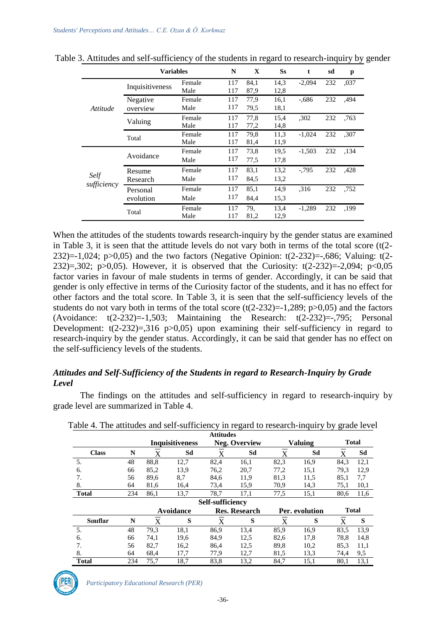|                     | <b>Variables</b>      |                | N          | X            | <b>Ss</b>    | t        | sd  | p    |
|---------------------|-----------------------|----------------|------------|--------------|--------------|----------|-----|------|
|                     | Inquisitiveness       | Female<br>Male | 117<br>117 | 84,1<br>87,9 | 14,3<br>12,8 | $-2,094$ | 232 | ,037 |
| Attitude            | Negative<br>overview  | Female<br>Male | 117<br>117 | 77,9<br>79,5 | 16,1<br>18,1 | $-.686$  | 232 | .494 |
|                     | Valuing               | Female<br>Male | 117<br>117 | 77,8<br>77,2 | 15,4<br>14,8 | ,302     | 232 | ,763 |
|                     | Total                 | Female<br>Male | 117<br>117 | 79,8<br>81,4 | 11,3<br>11,9 | $-1,024$ | 232 | ,307 |
|                     | Avoidance             | Female<br>Male | 117<br>117 | 73,8<br>77,5 | 19.5<br>17,8 | $-1,503$ | 232 | ,134 |
| Self<br>sufficiency | Resume<br>Research    | Female<br>Male | 117<br>117 | 83,1<br>84,5 | 13,2<br>13,2 | $-0.795$ | 232 | .428 |
|                     | Personal<br>evolution | Female<br>Male | 117<br>117 | 85,1<br>84,4 | 14,9<br>15.3 | .316     | 232 | .752 |
|                     | Total                 | Female<br>Male | 117<br>117 | 79.<br>81,2  | 13,4<br>12,9 | $-1,289$ | 232 | ,199 |

|  | Table 3. Attitudes and self-sufficiency of the students in regard to research-inquiry by gender |  |
|--|-------------------------------------------------------------------------------------------------|--|
|  |                                                                                                 |  |

When the attitudes of the students towards research-inquiry by the gender status are examined in Table 3, it is seen that the attitude levels do not vary both in terms of the total score (t(2- 232)=-1,024; p $>0.05$ ) and the two factors (Negative Opinion: t(2-232)=-,686; Valuing: t(2-232)=,302; p>0,05). However, it is observed that the Curiosity:  $t(2-232)=2,094$ ; p<0,05 factor varies in favour of male students in terms of gender. Accordingly, it can be said that gender is only effective in terms of the Curiosity factor of the students, and it has no effect for other factors and the total score. In Table 3, it is seen that the self-sufficiency levels of the students do not vary both in terms of the total score  $(t(2-232)=-1,289; p>0,05)$  and the factors (Avoidance:  $t(2-232)=1,503$ ; Maintaining the Research:  $t(2-232)=1,795$ ; Personal Development:  $t(2-232)=0,316 \text{ p}>0,05)$  upon examining their self-sufficiency in regard to research-inquiry by the gender status. Accordingly, it can be said that gender has no effect on the self-sufficiency levels of the students.

#### *Attitudes and Self-Sufficiency of the Students in regard to Research-Inquiry by Grade Level*

The findings on the attitudes and self-sufficiency in regard to research-inquiry by grade level are summarized in Table 4.

|                 |                         |      |                        | <b>Attitudes</b> |                      |      |                |      |              |
|-----------------|-------------------------|------|------------------------|------------------|----------------------|------|----------------|------|--------------|
|                 |                         |      | <b>Inquisitiveness</b> |                  | <b>Neg. Overview</b> |      | Valuing        |      | <b>Total</b> |
| <b>Class</b>    | N                       | X    | Sd                     | X                | Sd                   | X    | Sd             | X    | Sd           |
| 5.              | 48                      | 88,8 | 12,7                   | 82,4             | 16,1                 | 82,3 | 16,9           | 84,3 | 12,1         |
| 6.              | 66                      | 85,2 | 13.9                   | 76,2             | 20,7                 | 77,2 | 15,1           | 79.3 | 12,9         |
| 7.              | 56                      | 89,6 | 8,7                    | 84,6             | 11,9                 | 81,3 | 11,5           | 85,1 | 7,7          |
| 8.              | 64                      | 81,6 | 16,4                   | 73,4             | 15,9                 | 70,9 | 14,3           | 75,1 | 10,1         |
| <b>Total</b>    | 234                     | 86,1 | 13,7                   | 78,7             | 17,1                 | 77,5 | 15,1           | 80.6 | 11,6         |
|                 | <b>Self-sufficiency</b> |      |                        |                  |                      |      |                |      |              |
|                 |                         |      | Avoidance              |                  | <b>Res. Research</b> |      | Per. evolution |      | <b>Total</b> |
| <b>Siniflar</b> | N                       | X    | S                      | X                | S                    | X    | S              | X    | S            |
| 5.              | 48                      | 79,3 | 18,1                   | 86.9             | 13,4                 | 85,9 | 16.9           | 83,5 | 13.9         |
| 6.              | 66                      | 74,1 | 19,6                   | 84,9             | 12,5                 | 82,6 | 17,8           | 78,8 | 14,8         |
| 7.              | 56                      | 82.7 | 16,2                   | 86.4             | 12.5                 | 89,8 | 10,2           | 85.3 | 11,1         |
| 8.              | 64                      | 68,4 | 17,7                   | 77,9             | 12,7                 | 81,5 | 13,3           | 74,4 | 9,5          |
| <b>Total</b>    | 234                     | 75.7 | 18.7                   | 83,8             | 13,2                 | 84,7 | 15,1           | 80,1 | 13,1         |

Table 4. The attitudes and self-sufficiency in regard to research-inquiry by grade level

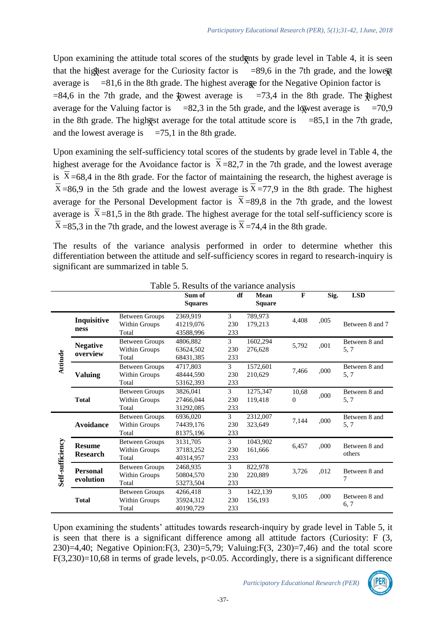Upon examining the attitude total scores of the studognts by grade level in Table 4, it is seen that the hightest average for the Curiosity factor is  $=89,6$  in the 7th grade, and the lower average is  $=81,6$  in the 8th grade. The highest avera<sub>gge</sub> for the Negative Opinion factor is  $=84,6$  in the 7th grade, and the  $\frac{1}{2}$  west average is  $=73,4$  in the 8th grade. The  $\frac{1}{2}$  and  $\frac{1}{2}$  in the 8th grade. average for the Valuing factor is  $=82.3$  in the 5th grade, and the lowest average is  $=70.9$ in the 8th grade. The hightest average for the total attitude score is  $=85,1$  in the 7th grade, and the lowest average is  $=75,1$  in the 8th grade.

Upon examining the self-sufficiency total scores of the students by grade level in Table 4, the highest average for the Avoidance factor is  $X=82,7$  in the 7th grade, and the lowest average is  $X=68,4$  in the 8th grade. For the factor of maintaining the research, the highest average is  $X = 86.9$  in the 5th grade and the lowest average is  $X = 77.9$  in the 8th grade. The highest average for the Personal Development factor is  $X=89,8$  in the 7th grade, and the lowest average is  $X = 81,5$  in the 8th grade. The highest average for the total self-sufficiency score is  $X = 85,3$  in the 7th grade, and the lowest average is  $X = 74,4$  in the 8th grade.

The results of the variance analysis performed in order to determine whether this differentiation between the attitude and self-sufficiency scores in regard to research-inquiry is significant are summarized in table 5.

|                  |                  |                       | Sum of         | df             | <b>Mean</b>   | $\mathbf{F}$ | Sig. | <b>LSD</b>         |
|------------------|------------------|-----------------------|----------------|----------------|---------------|--------------|------|--------------------|
|                  |                  |                       | <b>Squares</b> |                | <b>Square</b> |              |      |                    |
|                  | Inquisitive      | <b>Between Groups</b> | 2369,919       | 3              | 789,973       | 4,408        | ,005 |                    |
|                  |                  | Within Groups         | 41219,076      | 230            | 179,213       |              |      | Between 8 and 7    |
|                  | ness             | Total                 | 43588,996      | 233            |               |              |      |                    |
|                  | <b>Negative</b>  | <b>Between Groups</b> | 4806,882       | 3              | 1602,294      | 5,792        | ,001 | Between 8 and      |
|                  |                  | Within Groups         | 63624,502      | 230            | 276,628       |              |      | 5, 7               |
|                  | overview         | Total                 | 68431,385      | 233            |               |              |      |                    |
| Attitude         |                  | <b>Between Groups</b> | 4717,803       | 3              | 1572,601      | 7,466        | ,000 | Between 8 and      |
|                  | <b>Valuing</b>   | Within Groups         | 48444,590      | 230            | 210,629       |              |      | 5, 7               |
|                  |                  | Total                 | 53162,393      | 233            |               |              |      |                    |
|                  |                  | <b>Between Groups</b> | 3826,041       | 3              | 1275,347      | 10,68        |      | Between 8 and      |
|                  | <b>Total</b>     | Within Groups         | 27466,044      | 230            | 119,418       | $\Omega$     | ,000 | 5, 7               |
|                  |                  | Total                 | 31292,085      | 233            |               |              |      |                    |
|                  |                  | <b>Between Groups</b> | 6936.020       | 3              | 2312,007      |              |      | Between 8 and      |
|                  | <b>Avoidance</b> | Within Groups         | 74439,176      | 230            | 323,649       | 7,144        | ,000 | 5, 7               |
|                  |                  | Total                 | 81375,196      | 233            |               |              |      |                    |
|                  | <b>Resume</b>    | <b>Between Groups</b> | 3131,705       | 3              | 1043,902      |              | ,000 | Between 8 and      |
|                  |                  | Within Groups         | 37183,252      | 230            | 161,666       | 6,457        |      | others             |
|                  | <b>Research</b>  | Total                 | 40314,957      | 233            |               |              |      |                    |
| Self-sufficiency |                  | <b>Between Groups</b> | 2468,935       | 3              | 822,978       |              |      |                    |
|                  | <b>Personal</b>  | Within Groups         | 50804,570      | 230            | 220,889       | 3,726        | ,012 | Between 8 and<br>7 |
|                  | evolution        | Total                 | 53273,504      | 233            |               |              |      |                    |
|                  |                  | <b>Between Groups</b> | 4266,418       | $\mathfrak{Z}$ | 1422,139      |              |      | Between 8 and      |
|                  | <b>Total</b>     | Within Groups         | 35924,312      | 230            | 156,193       | 9,105        | ,000 | 6, 7               |
|                  |                  | Total                 | 40190.729      | 233            |               |              |      |                    |

|  |  |  | Table 5. Results of the variance analysis |  |
|--|--|--|-------------------------------------------|--|
|--|--|--|-------------------------------------------|--|

Upon examining the students' attitudes towards research-inquiry by grade level in Table 5, it is seen that there is a significant difference among all attitude factors (Curiosity: F (3, 230)=4,40; Negative Opinion:F(3, 230)=5,79; Valuing:F(3, 230)=7,46) and the total score F(3,230)=10,68 in terms of grade levels,  $p<0.05$ . Accordingly, there is a significant difference

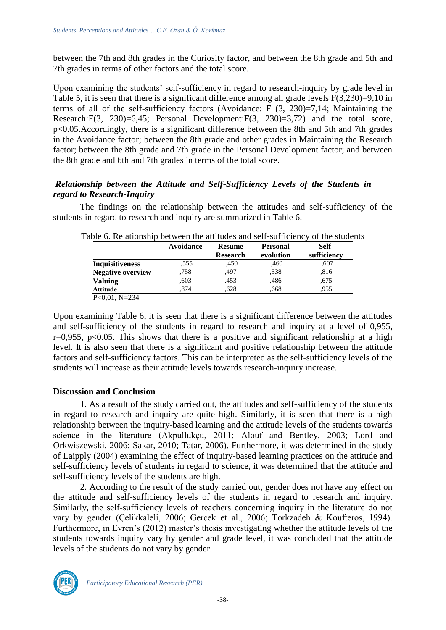between the 7th and 8th grades in the Curiosity factor, and between the 8th grade and 5th and 7th grades in terms of other factors and the total score.

Upon examining the students' self-sufficiency in regard to research-inquiry by grade level in Table 5, it is seen that there is a significant difference among all grade levels F(3,230)=9,10 in terms of all of the self-sufficiency factors (Avoidance: F (3, 230)=7,14; Maintaining the Research:F(3, 230)=6,45; Personal Development:F(3, 230)=3,72) and the total score, p<0.05.Accordingly, there is a significant difference between the 8th and 5th and 7th grades in the Avoidance factor; between the 8th grade and other grades in Maintaining the Research factor; between the 8th grade and 7th grade in the Personal Development factor; and between the 8th grade and 6th and 7th grades in terms of the total score.

# *Relationship between the Attitude and Self-Sufficiency Levels of the Students in regard to Research-Inquiry*

The findings on the relationship between the attitudes and self-sufficiency of the students in regard to research and inquiry are summarized in Table 6.

| <b>Avoidance</b> | <b>Resume</b> | <b>Personal</b> | Self-       |
|------------------|---------------|-----------------|-------------|
|                  |               |                 | sufficiency |
| .555             | ,450          | .460            | .607        |
| .758             | .497          | ,538            | .816        |
| .603             | .453          | .486            | .675        |
| .874             | .628          | .668            | .955        |
|                  |               | <b>Research</b> | evolution   |

Table 6. Relationship between the attitudes and self-sufficiency of the students

Upon examining Table 6, it is seen that there is a significant difference between the attitudes and self-sufficiency of the students in regard to research and inquiry at a level of 0,955,  $r=0.955$ ,  $p<0.05$ . This shows that there is a positive and significant relationship at a high level. It is also seen that there is a significant and positive relationship between the attitude factors and self-sufficiency factors. This can be interpreted as the self-sufficiency levels of the students will increase as their attitude levels towards research-inquiry increase.

#### **Discussion and Conclusion**

1. As a result of the study carried out, the attitudes and self-sufficiency of the students in regard to research and inquiry are quite high. Similarly, it is seen that there is a high relationship between the inquiry-based learning and the attitude levels of the students towards science in the literature (Akpullukçu, 2011; Alouf and Bentley, 2003; Lord and Orkwiszewski, 2006; Sakar, 2010; Tatar, 2006). Furthermore, it was determined in the study of Laipply (2004) examining the effect of inquiry-based learning practices on the attitude and self-sufficiency levels of students in regard to science, it was determined that the attitude and self-sufficiency levels of the students are high.

2. According to the result of the study carried out, gender does not have any effect on the attitude and self-sufficiency levels of the students in regard to research and inquiry. Similarly, the self-sufficiency levels of teachers concerning inquiry in the literature do not vary by gender (Çelikkaleli, 2006; Gerçek et al., 2006; Torkzadeh & Koufteros, 1994). Furthermore, in Evren's (2012) master's thesis investigating whether the attitude levels of the students towards inquiry vary by gender and grade level, it was concluded that the attitude levels of the students do not vary by gender.

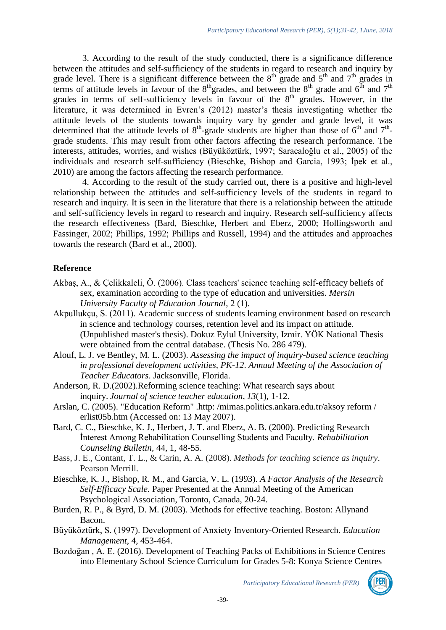3. According to the result of the study conducted, there is a significance difference between the attitudes and self-sufficiency of the students in regard to research and inquiry by grade level. There is a significant difference between the  $8<sup>th</sup>$  grade and  $5<sup>th</sup>$  and  $7<sup>th</sup>$  grades in terms of attitude levels in favour of the  $8<sup>th</sup>$  grades, and between the  $8<sup>th</sup>$  grade and  $6<sup>th</sup>$  and  $7<sup>th</sup>$ grades in terms of self-sufficiency levels in favour of the  $8<sup>th</sup>$  grades. However, in the literature, it was determined in Evren's (2012) master's thesis investigating whether the attitude levels of the students towards inquiry vary by gender and grade level, it was determined that the attitude levels of  $8<sup>th</sup>$ -grade students are higher than those of  $6<sup>th</sup>$  and  $7<sup>th</sup>$ grade students. This may result from other factors affecting the research performance. The interests, attitudes, worries, and wishes (Büyüköztürk, 1997; Saracaloğlu et al., 2005) of the individuals and research self-sufficiency (Bieschke, Bishop and Garcia, 1993; İpek et al., 2010) are among the factors affecting the research performance.

4. According to the result of the study carried out, there is a positive and high-level relationship between the attitudes and self-sufficiency levels of the students in regard to research and inquiry. It is seen in the literature that there is a relationship between the attitude and self-sufficiency levels in regard to research and inquiry. Research self-sufficiency affects the research effectiveness (Bard, Bieschke, Herbert and Eberz, 2000; Hollingsworth and Fassinger, 2002; Phillips, 1992; Phillips and Russell, 1994) and the attitudes and approaches towards the research (Bard et al., 2000).

#### **Reference**

- Akbaş, A., & Çelikkaleli, Ö. (2006). Class teachers' science teaching self-efficacy beliefs of sex, examination according to the type of education and universities. *Mersin University Faculty of Education Journal*, 2 (1).
- Akpullukçu, S. (2011). Academic success of students learning environment based on research in science and technology courses, retention level and its impact on attitude. (Unpublished master's thesis). Dokuz Eylul University, Izmir. YÖK National Thesis were obtained from the central database. (Thesis No. 286 479).
- Alouf, L. J. ve Bentley, M. L. (2003). *Assessing the impact of inquiry-based science teaching in professional development activities, PK-12*. *Annual Meeting of the Association of Teacher Educators*. Jacksonville, Florida.
- Anderson, R. D.(2002).Reforming science teaching: What research says about inquiry. *Journal of science teacher education*, *13*(1), 1-12.
- Arslan, C. (2005). "Education Reform" .http: /mimas.politics.ankara.edu.tr/aksoy reform / erlist05b.htm (Accessed on: 13 May 2007).
- Bard, C. C., Bieschke, K. J., Herbert, J. T. and Eberz, A. B. (2000). Predicting Research İnterest Among Rehabilitation Counselling Students and Faculty. *Rehabilitation Counseling Bulletin,* 44, 1, 48-55.
- Bass, J. E., Contant, T. L., & Carin, A. A. (2008). *Methods for teaching science as inquiry*. Pearson Merrill.
- Bieschke, K. J., Bishop, R. M., and Garcia, V. L. (1993). *A Factor Analysis of the Research Self-Efficacy Scale.* Paper Presented at the Annual Meeting of the American Psychological Association, Toronto, Canada, 20-24.
- Burden, R. P., & Byrd, D. M. (2003). Methods for effective teaching. Boston: Allynand Bacon.
- Büyüköztürk, S. (1997). Development of Anxiety Inventory-Oriented Research. *Education Management*, 4, 453-464.
- Bozdoğan , A. E. (2016). Development of Teaching Packs of Exhibitions in Science Centres into Elementary School Science Curriculum for Grades 5-8: Konya Science Centres

*Participatory Educational Research (PER)*

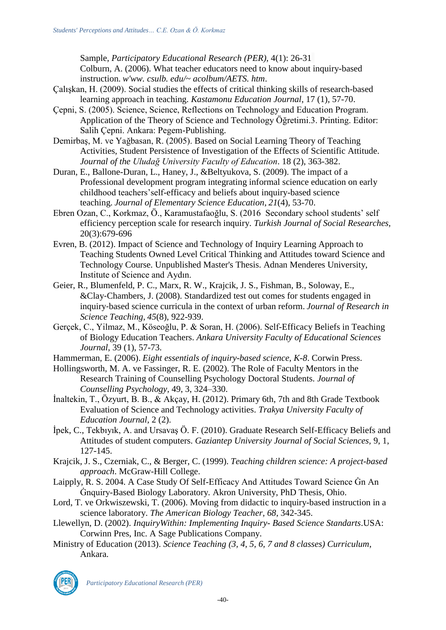Sample, *Participatory Educational Research (PER)*, 4(1): 26-31 Colburn, A. (2006). What teacher educators need to know about inquiry-based instruction. *w'ww. csulb. edu/~ acolbum/AETS. htm*.

- Çalışkan, H. (2009). Social studies the effects of critical thinking skills of research-based learning approach in teaching. *Kastamonu Education Journal*, 17 (1), 57-70.
- Çepni, S. (2005). Science, Science, Reflections on Technology and Education Program. Application of the Theory of Science and Technology Öğretimi.3. Printing. Editor: Salih Çepni. Ankara: Pegem-Publishing.
- Demirbaş, M. ve Yağbasan, R. (2005). Based on Social Learning Theory of Teaching Activities, Student Persistence of Investigation of the Effects of Scientific Attitude*. Journal of the Uludağ University Faculty of Education*. 18 (2), 363-382.
- Duran, E., Ballone-Duran, L., Haney, J., &Beltyukova, S. (2009). The impact of a Professional development program integrating informal science education on early childhood teachers'self-efficacy and beliefs about inquiry-based science teaching. *Journal of Elementary Science Education*, *21*(4), 53-70.
- Ebren Ozan, C., Korkmaz, Ö., Karamustafaoğlu, S. (2016 Secondary school students' self efficiency perception scale for research inquiry. *Turkish Journal of Social Researches,* 20(3):679-696
- Evren, B. (2012). Impact of Science and Technology of Inquiry Learning Approach to Teaching Students Owned Level Critical Thinking and Attitudes toward Science and Technology Course. Unpublished Master's Thesis. Adnan Menderes University, Institute of Science and Aydın.
- Geier, R., Blumenfeld, P. C., Marx, R. W., Krajcik, J. S., Fishman, B., Soloway, E., &Clay‐Chambers, J. (2008). Standardized test out comes for students engaged in inquiry‐based science curricula in the context of urban reform. *Journal of Research in Science Teaching*, *45*(8), 922-939.
- Gerçek, C., Yilmaz, M., Köseoğlu, P. & Soran, H. (2006). Self-Efficacy Beliefs in Teaching of Biology Education Teachers. *Ankara University Faculty of Educational Sciences Journal*, 39 (1), 57-73.
- Hammerman, E. (2006). *Eight essentials of inquiry-based science, K-8*. Corwin Press.
- Hollingsworth, M. A. ve Fassinger, R. E. (2002). The Role of Faculty Mentors in the Research Training of Counselling Psychology Doctoral Students. *Journal of Counselling Psychology,* 49, 3, 324–330.
- İnaltekin, T., Özyurt, B. B., & Akçay, H. (2012). Primary 6th, 7th and 8th Grade Textbook Evaluation of Science and Technology activities. *Trakya University Faculty of Education Journal,* 2 (2).
- İpek, C., Tekbıyık, A. and Ursavaş Ö. F. (2010). Graduate Research Self-Efficacy Beliefs and Attitudes of student computers. *Gaziantep University Journal of Social Sciences,* 9, 1, 127-145.
- Krajcik, J. S., Czerniak, C., & Berger, C. (1999). *Teaching children science: A project-based approach*. McGraw-Hill College.
- Laipply, R. S. 2004. A Case Study Of Self-Efficacy And Attitudes Toward Science Ġn An Ġnquiry-Based Biology Laboratory*.* Akron University, PhD Thesis, Ohio.
- Lord, T. ve Orkwiszewski, T. (2006). Moving from didactic to inquiry-based instruction in a science laboratory. *The American Biology Teacher, 68*, 342-345.
- Llewellyn, D. (2002). *InquiryWithin: Implementing Inquiry- Based Science Standarts*.USA: Corwinn Pres, Inc. A Sage Publications Company.
- Ministry of Education (2013). *Science Teaching (3, 4, 5, 6, 7 and 8 classes) Curriculum*, Ankara.

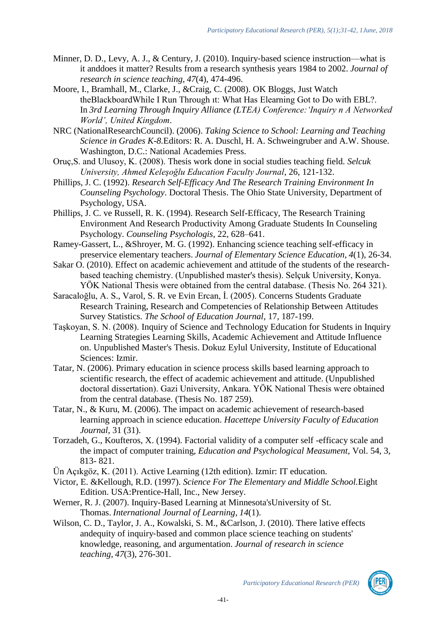- Minner, D. D., Levy, A. J., & Century, J. (2010). Inquiry-based science instruction—what is it anddoes it matter? Results from a research synthesis years 1984 to 2002. *Journal of research in science teaching*, *47*(4), 474-496.
- Moore, I., Bramhall, M., Clarke, J., &Craig, C. (2008). OK Bloggs, Just Watch theBlackboardWhile I Run Through ıt: What Has Elearning Got to Do with EBL?. In *3rd Learning Through Inquiry Alliance (LTEA) Conference:'Inquiry n A Networked World', United Kingdom*.
- NRC (NationalResearchCouncil). (2006). *Taking Science to School: Learning and Teaching Science in Grades K-8.*Editors: R. A. Duschl, H. A. Schweingruber and A.W. Shouse. Washington, D.C.: National Academies Press.
- Oruç,S. and Ulusoy, K. (2008). Thesis work done in social studies teaching field. *Selcuk University, Ahmed Keleşoğlu Education Faculty Journal*, 26, 121-132.
- Phillips, J. C. (1992). *Research Self-Efficacy And The Research Training Environment In Counseling Psychology*. Doctoral Thesis. The Ohio State University, Department of Psychology, USA.
- Phillips, J. C. ve Russell, R. K. (1994). Research Self-Efficacy, The Research Training Environment And Research Productivity Among Graduate Students In Counseling Psychology. *Counseling Psychologis,* 22, 628–641.
- Ramey-Gassert, L., &Shroyer, M. G. (1992). Enhancing science teaching self-efficacy in preservice elementary teachers. *Journal of Elementary Science Education*, *4*(1), 26-34.
- Sakar O. (2010). Effect on academic achievement and attitude of the students of the researchbased teaching chemistry. (Unpublished master's thesis). Selçuk University, Konya. YÖK National Thesis were obtained from the central database. (Thesis No. 264 321).
- Saracaloğlu, A. S., Varol, S. R. ve Evin Ercan, İ. (2005). Concerns Students Graduate Research Training, Research and Competencies of Relationship Between Attitudes Survey Statistics. *The School of Education Journal*, 17, 187-199.
- Taşkoyan, S. N. (2008). Inquiry of Science and Technology Education for Students in Inquiry Learning Strategies Learning Skills, Academic Achievement and Attitude Influence on. Unpublished Master's Thesis. Dokuz Eylul University, Institute of Educational Sciences: Izmir.
- Tatar, N. (2006). Primary education in science process skills based learning approach to scientific research, the effect of academic achievement and attitude. (Unpublished doctoral dissertation). Gazi University, Ankara. YÖK National Thesis were obtained from the central database. (Thesis No. 187 259).
- Tatar, N., & Kuru, M. (2006). The impact on academic achievement of research-based learning approach in science education. *Hacettepe University Faculty of Education Journal*, 31 (31).
- Torzadeh, G., Koufteros, X. (1994). Factorial validity of a computer self -efficacy scale and the impact of computer training, *Education and Psychological Measument*, Vol. 54, 3, 813- 821.
- Ün Açıkgöz, K. (2011). Active Learning (12th edition). Izmir: IT education.
- Victor, E. &Kellough, R.D. (1997). *Science For The Elementary and Middle School.*Eight Edition. USA:Prentice-Hall, Inc., New Jersey.
- Werner, R. J. (2007). Inquiry-Based Learning at Minnesota'sUniversity of St. Thomas. *International Journal of Learning*, *14*(1).
- Wilson, C. D., Taylor, J. A., Kowalski, S. M., &Carlson, J. (2010). There lative effects andequity of inquiry‐based and common place science teaching on students' knowledge, reasoning, and argumentation. *Journal of research in science teaching*, *47*(3), 276-301.